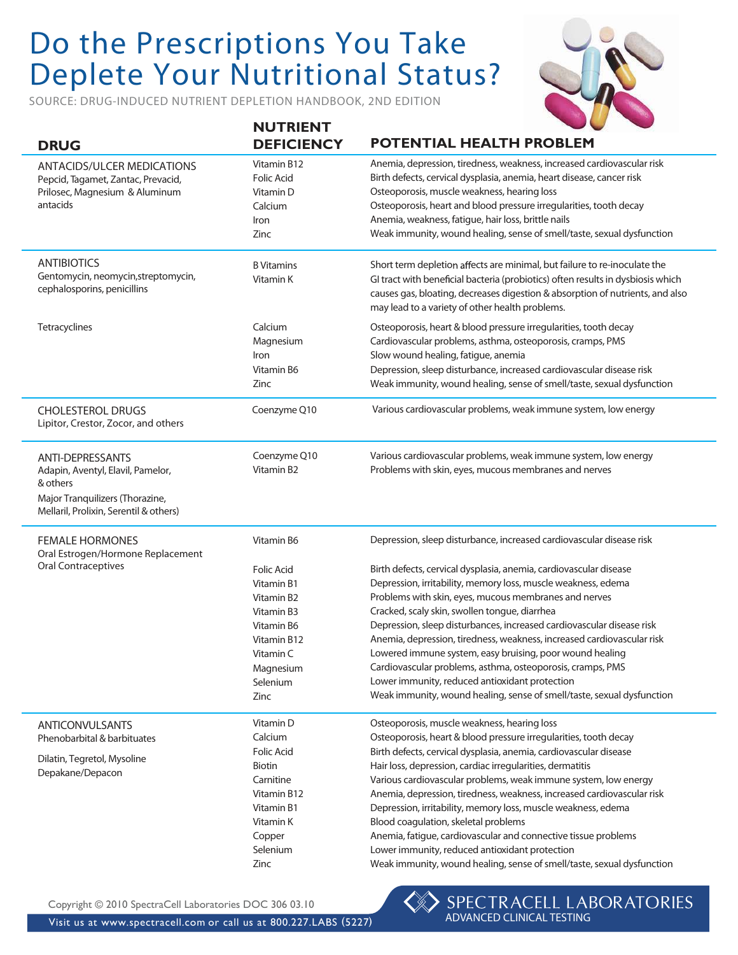## Do the Prescriptions You Take Deplete Your Nutritional Status?

**NUTRIES** 

SOURCE: DRUG-INDUCED NUTRIENT DEPLETION HANDBOOK, 2ND EDITION



|                                                                                                                                                       | NU I KIEN I                                                                                                                                          |                                                                                                                                                                                                                                                                                                                                                                                                                                                                                                                                                                                                                                                                                                                               |
|-------------------------------------------------------------------------------------------------------------------------------------------------------|------------------------------------------------------------------------------------------------------------------------------------------------------|-------------------------------------------------------------------------------------------------------------------------------------------------------------------------------------------------------------------------------------------------------------------------------------------------------------------------------------------------------------------------------------------------------------------------------------------------------------------------------------------------------------------------------------------------------------------------------------------------------------------------------------------------------------------------------------------------------------------------------|
| <b>DRUG</b>                                                                                                                                           | <b>DEFICIENCY</b>                                                                                                                                    | POTENTIAL HEALTH PROBLEM                                                                                                                                                                                                                                                                                                                                                                                                                                                                                                                                                                                                                                                                                                      |
| <b>ANTACIDS/ULCER MEDICATIONS</b><br>Pepcid, Tagamet, Zantac, Prevacid,<br>Prilosec, Magnesium & Aluminum<br>antacids                                 | Vitamin B12<br><b>Folic Acid</b><br>Vitamin D<br>Calcium<br>Iron<br>Zinc                                                                             | Anemia, depression, tiredness, weakness, increased cardiovascular risk<br>Birth defects, cervical dysplasia, anemia, heart disease, cancer risk<br>Osteoporosis, muscle weakness, hearing loss<br>Osteoporosis, heart and blood pressure irregularities, tooth decay<br>Anemia, weakness, fatigue, hair loss, brittle nails<br>Weak immunity, wound healing, sense of smell/taste, sexual dysfunction                                                                                                                                                                                                                                                                                                                         |
| <b>ANTIBIOTICS</b><br>Gentomycin, neomycin, streptomycin,<br>cephalosporins, penicillins                                                              | <b>B</b> Vitamins<br>Vitamin K                                                                                                                       | Short term depletion affects are minimal, but failure to re-inoculate the<br>GI tract with beneficial bacteria (probiotics) often results in dysbiosis which<br>causes gas, bloating, decreases digestion & absorption of nutrients, and also<br>may lead to a variety of other health problems.                                                                                                                                                                                                                                                                                                                                                                                                                              |
| Tetracyclines                                                                                                                                         | Calcium<br>Magnesium<br>Iron<br>Vitamin B6<br>Zinc                                                                                                   | Osteoporosis, heart & blood pressure irregularities, tooth decay<br>Cardiovascular problems, asthma, osteoporosis, cramps, PMS<br>Slow wound healing, fatigue, anemia<br>Depression, sleep disturbance, increased cardiovascular disease risk<br>Weak immunity, wound healing, sense of smell/taste, sexual dysfunction                                                                                                                                                                                                                                                                                                                                                                                                       |
| <b>CHOLESTEROL DRUGS</b><br>Lipitor, Crestor, Zocor, and others                                                                                       | Coenzyme Q10                                                                                                                                         | Various cardiovascular problems, weak immune system, low energy                                                                                                                                                                                                                                                                                                                                                                                                                                                                                                                                                                                                                                                               |
| <b>ANTI-DEPRESSANTS</b><br>Adapin, Aventyl, Elavil, Pamelor,<br>& others<br>Major Tranquilizers (Thorazine,<br>Mellaril, Prolixin, Serentil & others) | Coenzyme Q10<br>Vitamin B <sub>2</sub>                                                                                                               | Various cardiovascular problems, weak immune system, low energy<br>Problems with skin, eyes, mucous membranes and nerves                                                                                                                                                                                                                                                                                                                                                                                                                                                                                                                                                                                                      |
| <b>FEMALE HORMONES</b><br>Oral Estrogen/Hormone Replacement<br><b>Oral Contraceptives</b>                                                             | Vitamin B6<br><b>Folic Acid</b><br>Vitamin B1<br>Vitamin B2<br>Vitamin B3<br>Vitamin B6<br>Vitamin B12<br>Vitamin C<br>Magnesium<br>Selenium<br>Zinc | Depression, sleep disturbance, increased cardiovascular disease risk<br>Birth defects, cervical dysplasia, anemia, cardiovascular disease<br>Depression, irritability, memory loss, muscle weakness, edema<br>Problems with skin, eyes, mucous membranes and nerves<br>Cracked, scaly skin, swollen tongue, diarrhea<br>Depression, sleep disturbances, increased cardiovascular disease risk<br>Anemia, depression, tiredness, weakness, increased cardiovascular risk<br>Lowered immune system, easy bruising, poor wound healing<br>Cardiovascular problems, asthma, osteoporosis, cramps, PMS<br>Lower immunity, reduced antioxidant protection<br>Weak immunity, wound healing, sense of smell/taste, sexual dysfunction |
| ANTICONVULSANTS<br>Phenobarbital & barbituates<br>Dilatin, Tegretol, Mysoline<br>Depakane/Depacon                                                     | Vitamin D<br>Calcium<br><b>Folic Acid</b><br>Biotin<br>Carnitine<br>Vitamin B12<br>Vitamin B1<br>Vitamin K<br>Copper<br>Selenium<br>Zinc             | Osteoporosis, muscle weakness, hearing loss<br>Osteoporosis, heart & blood pressure irregularities, tooth decay<br>Birth defects, cervical dysplasia, anemia, cardiovascular disease<br>Hair loss, depression, cardiac irregularities, dermatitis<br>Various cardiovascular problems, weak immune system, low energy<br>Anemia, depression, tiredness, weakness, increased cardiovascular risk<br>Depression, irritability, memory loss, muscle weakness, edema<br>Blood coagulation, skeletal problems<br>Anemia, fatigue, cardiovascular and connective tissue problems<br>Lower immunity, reduced antioxidant protection<br>Weak immunity, wound healing, sense of smell/taste, sexual dysfunction                         |

Copyright © 2010 SpectraCell Laboratories DOC 306 03.10